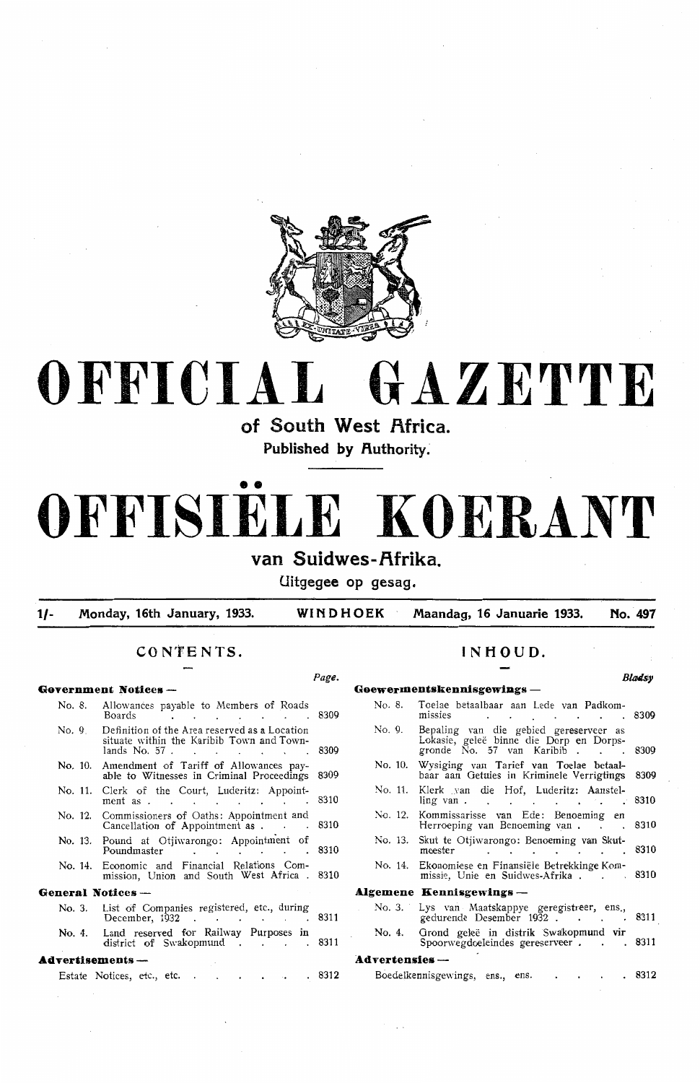

# **OFFICIAL GAZETTE**

**of South West Africa.** 

**Published by Authority.** 

# •• **OFFISIELE KOERANT**

**van Suidwes-Afrika** 

**Uitgegee op gesag.** 

**1/- Monday, 16th January, 1933. WINDHOEK Maandag, 16 Januarie 1933. No . . 497** 

## **CO N'fE NTS. INHOUD.**

#### Page. **Blades Government Notices- GoewermentskennisgewiDgs** - Allowances payable to Members of Roads No. 8. Toelae betaalbaar aan Lede van Padkom-<br>Boards 6309 missies No. 8. Boards 8309 missies 8309 Definition of the Area reserved as a Location  $No.9$ No. 9. Bepaling van die gebied gereserveer as Lokasie, gelee binne die Dorp en Dorpssituate within the Karibib Town and Townlands No. 57 . . . . . . . . . . . 8309 gronde  $\overline{N}$ o. 57 van Karibib . . . 8309 **No.** 10. Amendment of Tariff of Allowances pay-No. 10. Wysiging van Tarief van Toelae betaalable to Witnesses in Criminal Proceedings 8309 baar aan Oetuies in Kriminele Verrigtings 8309 No. 11. Klerk van die Hof, Luderitz: Aanstel. **No.** 11. Clerk of the Court, Luderitz: Appointment as . . . . . . . . . . 8310 ling van . . . . . . . . . . . . 8310 No. 12. Kommissarisse van Ede: Benoeming en Herroeping van Benoeming van . 8310 No. 12. Commissioners of Oaths: Appointment and Cancellation of Appointment as . 8310 No. 13. Skut te Otjiwarongo: Benoeming van Skut-**No.** 13. Pound at Otjiwarongo: Appointment of<br>Poundmaster Poundmaster . . . . 8310 meester . . . . . . . 8310 No. 14. Ekonomiese en Finansiële Betrekkinge Kom-No. 14. Economic and Financial Relations Commissie, Unie en Suidwes-Afrika . . . . 8310 mission, Union and South West Africa . 8310 **General Notices** - **A.Igemene Kenniagewings** - No. 3. List of Companies registered, etc., during No. 3. Lys van Maatskappye geregistreer, ens., December, 1932 . . . . . . . . 831 gedurende Desember 1932 . . . . . 8311 No. 4. Orond gelee in distrik Swakopmund vir No. 4. Land reserved for Railway Purposes in district of Swakopmund . . . . 831 Spoorwegdoeleindes gereserveer . . . 831 **Advertisements** - **Advertensies** - Boedelkennisgewings, ens., ens. . . . . 8312 Estate Notices, etc., etc. . . . . . 831.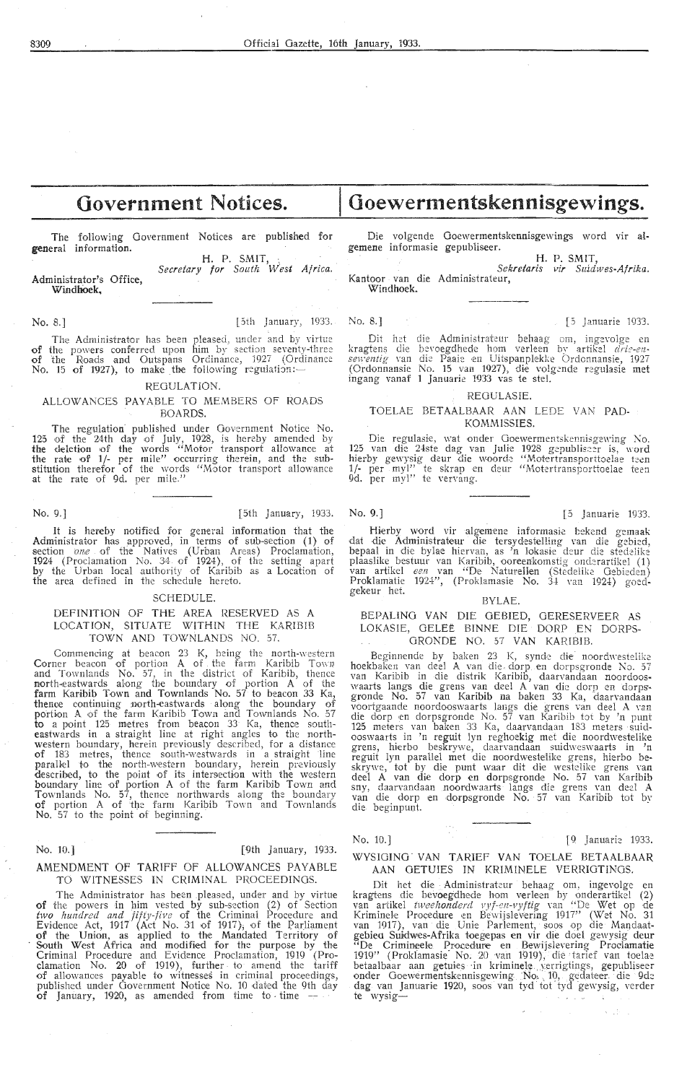# **Government Notices.**

The following Government Notices are published for **general** information.

Administrator's Office, Windhoek, H. P. SMIT, *Secretary for South West Africa.* 

No. 8.] [5th January, 1933. No. 8.] [5 Januarie 1933.

The Administrator has been pleased, under and by virtue of the powers conferred upon him by section seventy-three of the Roads and Outspans Ordinance, 1927 (Ordinance No. 15 of 1927), to make the following regulation:

#### REGULATION.

#### ALLOWANCES PAYABLE TO MEMBERS OF ROADS BOARDS.

The regulation published under Government Notice No.<br>125 of the 24th day of July, 1928, is hereby amended by the deletion of the words "Motor transport allowance at **the** rate of **1/-** per mile" occurring therein, and the substitution therefor of the words "Motor transport allowance at the rate of 9d. per mile."

No. 9.] [5th January, 1933. No. 9.] [5 Januarie 1933.

It is hereby notified for general information that the Administrator has approved, in terms of sub-section (1) of section *one* of the Natives (Urban Areas) Proclamation, 1924 (Proclamation No. 34 of 1924), of the setting apart by the Urban local authority of Karibib as a Location of the area defined in the schedule hereto.

#### SCHEDULE.

### DEFINITION OF THE AREA RESERVED AS A LOCATION, SITUATE WITHIN THE KARIBIB TOWN AND TOWNLANDS NO. 57. TOWN AND TOWNLANDS NO. 57.

Commencing at beacon 23 K, being the north-western Corner beacon of portion A of the farm Karibib Town<br>and Townlands No. 57, in the district of Karibib, thence<br>morth-eastwards along the boundary of portion A of the farm Karibib Town and Townlands No. 57 to beacon 33 Ka, thence continuing north-eastwards along the boundary of portion A of the farm Karibib Town and Townlands No. 57 to a point 125 metres from beacon 33 Ka, thence southeastwards in a straight line at right angles to the northwestern boundary, herein previously described, for a distance<br>of 183 metres, thence south-westwards in a-straight line parallel to the north-western boundary, herein previously described, to the point of its intersection with the western boundary line of portion A of the farm Karibib Town and Townlands No.  $5\hat{7}$ , thence northwards along the boundary of portion A of the farm Karibib Town and Townlands No. 57 to the point of beginning.

#### No. 10.] [9th January, 1933.

#### AMENDMENT OF TARIFF Of ALLOWANCES PAYABLE TO WITNESSES IN CRIMINAL PROCEEDINGS.

The Administrator has been pleased, under and by virtue **of** the powers in him vested by sub-section (2) of Section two hundred and *jifty-five* of the Criminal Procedure and<br>Evidence Act, 1917 (Act No. 31 of 1917); of the Parliament **of** the Union, as applied to the Mandated Territory of South West Africa and modified for the purpose by the Criminal Procedure and Evidence Proclamation, 1919 (Proclamation No. 20 of 1919), further. to amend the tariff of allowances payable to witnesses in criminal proceedings, published under Government Notice No. 10 dated the 9th day of January, 1920, as amended from time to time

Die volgende Goewermentskennisgewings word vir algemene informasie gepubliseer.

**Goewermentskennisgewings.** 

H. P. SMIT

Sekretaris vir Suidwes-Afrika. Kantoor van die Administrateur, Windhoek.

Dit het die Administrateur behaag om, ingevolge en kragtens die bevoegdhede hom verleen by artikel *drie-ensewentig* van die Paaie en Uitspanplekke Ordonnansie, 1927 (Ordonnansie No. 15 van 1927), die volgende regulasie met ingang vanaf 1 Januarie 1933 vas te stel.

#### REOULASIE.

#### TOELAE BETAALBAAR AAN LEDE VAN PAD-KOMMISSIES.

Die regulasie, wat onder Goewermentskennisgewing No. 125 van die 24ste dag van Julie 1928 gepubliseer is, word hierby gewysig deur die woorde "Motertransporttoelae teen<br>1/- per my!" te skrap en deur "Motertransporttoelae teen 9d. per myl" te vervang.

Hierby word vir algemene informasie bekend gemaak dat die Administrateur die tersydestelling van die gebied,<br>bepaal in die bylae hiervan, as 'n lokasie deur die stedelike plaaslike bestuur van Karibib, ooreenkomstig onderartikel (1)<br>van artikel *een* van "De Naturellen (Stedelike Gebieden) Proklamatie 1924", (Proklamasie **No.** 3-1 nn 1924) goedgekeur het.

#### BYLAE.

#### BEPAUNO VAN DIE GEBIED, OERESERVEER AS LOKASIE, GELEE BINNE DIE DORP EN DORPS-GRONDE NO. 57 **VAN** KAR!BIB.

Beginnende by baken 23 K, synde die noordwestelike hoekbaken van deel A van die , dorp .en dorpsgronde No. 57 van Karibib in die distrik Karibib, daarvandaan noordooswaarts langs die grens van deel A van die dorp en dorpsgronde No. 57 van Karibib na baken 33 Ka, daarvandaan voortgaande noordooswaarts langs die grens van deel A van die dorp en dorpsgronde No. 57 van Karibib tot by 'n punt 125 meters van baken 33 Ka, daarvandaan 183 meters suid-<br>ooswaarts in 'n reguit lyn reghoekig met die noordwestelike grens, hi-erbo beskrywe, daarvandaan suidweswaarts in **'n** reguit lyn parallel met die noordweste1ike grens, hierbo beskrywe, tot by die punt waar dit die westelike grens van dee! A van die dorp en dorpsgronde No. 57 \'an Karibib sny, daarvandaan .noordwaarts langs die grens Yan dee! A van die dorp en dorpsgronde No. 57 van Karibib tot by die beginpunt.

No. 10.] [9 Januari: 1933.

#### WYSIGING VAN TARIEF VAN TOELAE BETAALBAAR AAN GETUIES IN KRIMINELE VERRIGTINGS.

Dit het die Administrateur behaag om, ingevolge en kragtens die bevoegdhede hom verleen by onderartikel (2) van artikel *tweehonderd vyf-en-vyftig* van "De Wet op de Kriminele Procedure en Bewijslevering 1917" (Wet No. 31 van 1917), van die Unie Parlement, soos op die Mandaatgebied Suidwes-Afrika toegepas en vir die doel gewysig deur "De Crimineele. Procedure- en Bewijslevering Proclamatie 1919" (Proklamasie<sup>-</sup> No. 20 van 1919), die tarief van toelae betaalbaar aan getuies in kriminele verrigtings, gepubliseer onder Goewermentskennisgewing No, 10, gedateer die 9de dag van Januarie 1920, soos van tyd tot tyd gewysig, verder<br>te wysig-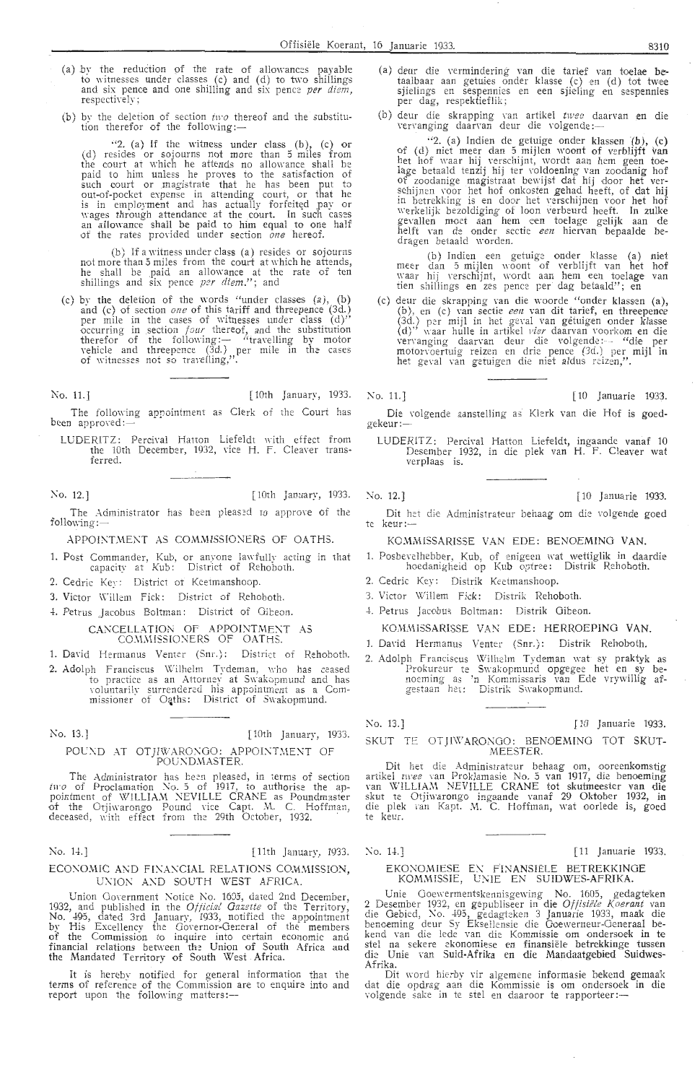- (a) *by* the reduction pf the rate of allowances payable to witnesses under classes  $(c)$  and  $(d)$  to two shillings and six pence and one shilling and six pence *per diem*, respectively;
- (b) by the deletion of section  $\hat{u} \cdot \hat{v}$  thereof and the substitution therefor of the following:—

·'2. (a) If the witness under class (b), (c) or (d) resides or sojourns not more than 5 miles from the court at which he attends no allowance shall be paid to him unless he proves to the satisfaction of such court or magistrate that he has been put to out-of-pocket expense in attending court, or that he is in employment and has actually forfeited pay or wages through attendance at the court. In such cases an allowance shall be paid to him equal to one half<br>of the rates provided under section *one* hereof.

(b) If a witness under class (a) resides or sojourns not more than 5 miles from the court at which he attends, he shall be paid an allowance at the rate of ten shillings and six pence *per diem.";* and

(c) by the deletion of the words " under classes (a), (b) and (c) of section *one* of this tariff and threepence (3d.) per mile in the cases of witnesses under class  $(d)$ " occurring in section *four* thereof, and the substitution therefor of the following:- "travelling by motor vehicle and threepence (3d.) per mile in the cases of witnesses not so travelling,".

No. 11.] [10th January, 1933.

The following appointment as Clerk of the Court has been approved:

LUDERITZ: Percival Hatton Liefeldt with effect from the 10th December, 1932, vice H. F. Cleaver transferred .

No. 12.] [10th January, 1933. No. 12.] [10 Januarie 1933.

The Administrator has been pleased to approve of the following :-

APPOINTMENT AS COMMISSIONERS OF OATHS.

- 1. Post Commander, Kub, or anyone lawfully acting in that capacity at Kub: District of Rehoboth.
- 2. Cedric Key: District of Keetmanshoop.
- 3. Victor Willem Fick: District of Rehoboth.
- *4.* Petrus Jacobus Bo!tman: District of Oiteon.

CANCELLATION OF APPOINTMENT AS COMMISSIONERS OF OATHS.

1. David Hermanus Venter (Snr.): District of Rehoboth.

2. Adolph Franciscus Wilhelm Tydeman, who has ceased to practice as an Attorney at Swakopmund and has Yoluntarily surrendered his appointment as a Commissioner of Oaths: District of Swakopmund.

No. 13.] [10th January, 1933.

#### POUND AT OTJIWARONGO: APPOINTMENT OF POUNDMASTER.

The Administrator has been pleased, in terms of section *tn-o* of Proclamation No. 5 of 1917, to authorise the appointment of WILLIAM NEVILLE CRANE as Poundmaster<br>of the Otjiwarongo Pound vice Capt. M. C. Hoffman, deceased, with effect from the 29th October, 1932. · · ·

No. 14.] [ 11th January, 1933.

#### ECONOMIC AND FINANCIAL RELATIONS COMMISSION, UNION AND SOUTH WEST AFRICA.

Union Government Notice No. 1695, dated 2nd December, 1932, and published in the *Official Gazette* of the Territory, No. 495, dated 3rd January, 1933, notified the appointment by His Excellency the Governor-General of the members of the Commission to inquire into certain economic and. financial relations between the Union of South Africa and the Mandated Territory of South West . Africa.

It is hereby notified for general information that the terms of reference of the Commission are to enquire into and report upon the following matters:-

- (a) deur die Yermindering van die tarief van toelae betaalbaar aan getuies onder klasse (c) en (d) tot twee sjielings en sespennies en een sjieling en sespennies per dag, respektieflik;
- (b) deur die skrapping van artikel *twee* daarvan en die \·ervanging daan-an deur die rnlgende :-

"2. (a) Indien de getuige onder klassen (b), (c) of (d) niet meer clan 5 mijlen woont of verblijft van het hof waar hij Yerschijnt, wordt aan hem geen toelage betaald tenzij hij ter voldoening van zoodanig hof of zoodanige mag istraat bewijst dat hij door het verschijnen voor het hof onkosten gehad heeft, of dat hij in betrekking is en door het verschijnen voor het hof werkelijk bezoldiging of loon verbeurd heeft. In zulke gevallen moet aan hem een toelage gelijk aan de helft \·an de onder sectie *een* hiervan bepaalde bedragen betaald worden.

(b) Indien een getuige onder klasse (a) niet<br>meer dan 5 mijlen woont of verblijft van het hof waar hij verschijnt, wordt aan hem een toelage van tien shillings en zes pence per dag betaald''; en

(c) deur die skrapping van die woorde "onder klassen (a), (b), en (c) van sectie een van dit tarief, en threepence (3d.) per mijl in het geval van getuigen onder klasse ( d)'' waar hulle in artikel *vier* daarvan \'oorkom **en** di,e vervanging daarvan deur die volgende :-- "die per motorvoertuig reizen en drie pence (3d.) per mijl in<br>het geval van getuigen die niet aldus reizen,''.

~o. 11.J [ 10 Januarie 1933.

Die volgende aanstelling as Klerk van die Hof is goedgekeur :-

LUDERITZ: Percival Hatton Liefeldt, ingaande vanaf 10 Desember i932, in die plek van H. F. Cleaver wat verplaas is.

Dit hei: die Administrateur behaag om die volgende goed te keur:-

KOMMISSARISSE VAN EDE: BENOEMING VAN.

- 1. Posbevelhebber, Kub, of enigeen wat wettiglik in daardie hoedanigheid op Kub optree: Distrik Rehoboth.
- 2. Cedric Key: Distrik Keetmanshoop.
- 3. Victor Willem Fick: Distrik Rehoboth.
- 4. Petrus Jacobus Boltman: Distrik Gibeon.
- KOMMISSARISSE VAN EDE: HERROEPING VAN.

1. David Hermanus Venter (Snr.): Distrik Rehoboth.

2. Adolph Franciscus Wilhelm Tydeman wat sy praktyk as Prokureur te Swakopmund opgegee het en sy benoeming as 'n Kommissaris van Ede vrywillig afgestaan het: Distrik Swakopmund.

No. 13.] [ 10 Januarie 1933. SKUT TE OTJIWARONGO: BENOEMING TOT SKUT-<br>MEESTER.

Dit het die Administrateur behaag om, ooreenkomstig artikel *twee* van Proklamasie No. 5 van 1917, die benoeming van WILLIAM NEVILLE CRANE tot skutmeester van die skut te Otjiwarongo ingaande vanaf 29 Oktober 1932, in die plek van Kapt. M. C. Hoffman, wat oorlede is, goed te keur.

*No.* 14.] [ 11 Januarie 1933.

#### EKONOMIESE EN FINANSIËLE BETREKKINGE KOMMISSIE, UNIE EN SUIDWES-AFRIKA.

Unie Goewermentskennisgewing No. 1605, gedagteken 2 Desember 1932, en gepubliseer in die Offisiële Koerant van die Gebied, No. 495, gedagteken 3 Januarie 1933, maak die benoeming deur Sy Eksellensie die Ooewerneur-Oeneraal bekend van die 1ede van die Kommissie om ondersoek in te stel na sekere ckonomiese en finansiele betrekkinge tussen die Unie van Suid-Afrika en die Mandaatgebied Suidwes-Afrika.

Dit word hierby vir algemene informasie bekend gemaak dat die opdrag aan die Kommissie is om ondersoek in die<br>volgende sake in te stel en daaroor te rapporteer:—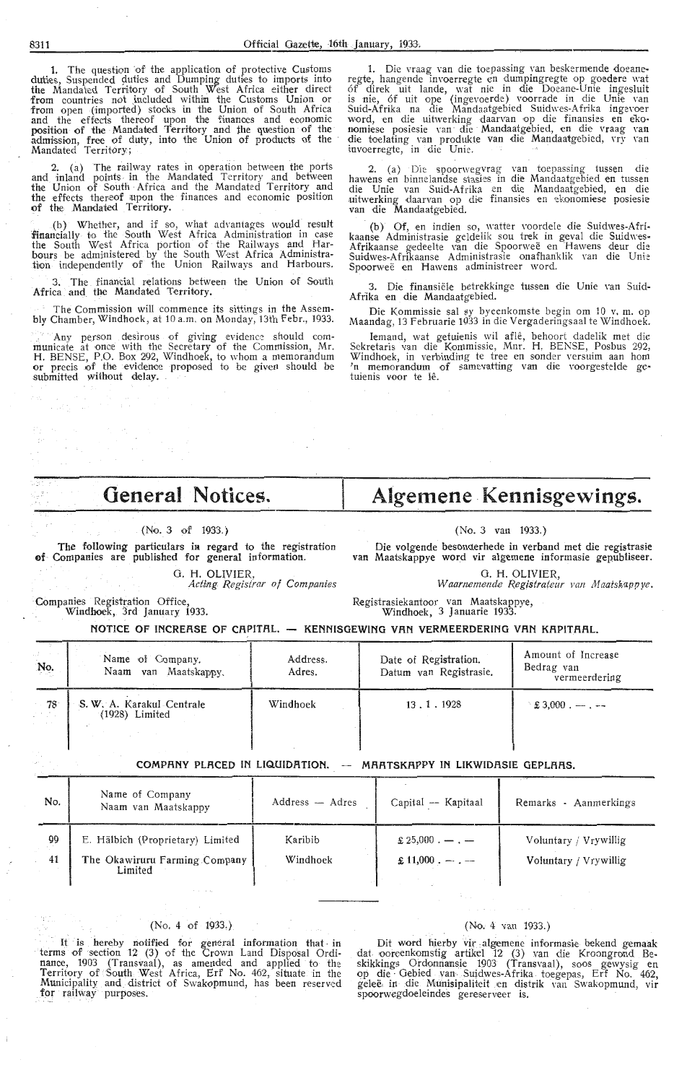1. The question of the application of protective Customs<br>duties, Suspended duties and Dumping duties to imports into<br>the Mandated Territory of South West Africa either direct<br>from countries not included within the Customs

2. (a) The railway rates in operation between the ports<br>and inland points in the Mandated Territory and between<br>the Union of South Africa and the Mandated Territory and<br>the offect of South Africa and the Mandated Territory the effects thereof upon the finances and economic position<br>of the Mandated Territory.

(b) Whether, and if so, what advantages would result<br>financially to the South West Africa Administration in case<br>the South West Africa portion of the Railways and Har-<br>bours be administered by the South West Africa Adminis

3. The financial relations between the Union of South Africa and the Mandated Territory.

The Commission will commence its sittings in the Assembly Chamber, Windhoek, at 10 a.m. on Monday, 13th Febr., 1933.

Any person desirous of giving evidence should communicate at once with the Secretary of the Commission, Mr.<br>H. BENSE, P.O. Box 292, Windhoek, to whom a memorandum or precis of the evidence proposed to be given should be su

1. Die vraag van die toepassing van beskermende doeane-<br>regte, hangende invoerregte en dumpingregte op goedere wat<br>of direk uit lande, wat nie in die Doeane-Unie ingesluit<br>is nie, of uit ope (ingevoerde) voorrade in die Un Suid-Afrika na die Mandaatgebied Suidwes-Afrika ingevoer<br>word, en die uitwerking daarvan op die finansies en eko-<br>nomiese posiesie van die Mandaatgebied, en die vraag van<br>die toelating van produkte van die Mandaatgebied, v

2. (a) Die spoorwegvrag van toepassing tussen die hawens en binnelandse stasies in die Mandaatgebied en tussen die Unie van Suid-Afrika en die Mandaatgebied, en die uitwerking daarvan op die finansies en ekonomiese posiesi

(b) Of, en indien so, watter voordele die Suidwes-Afri-<br>kaanse Administrasie geldelik sou trek in geval die Suidwes-Afrikaanse gedeelte van die Spoorweë en Hawens deur die<br>Suidwes-Afrikaanse Administrasie onafhanklik van d Spoorweë en Hawens administreer word.

3. Die finansiële betrekkinge tussen die Unie van Suid-Afrika en die Mandaatgebied.

Die Kommissie sal sy byeenkomste begin om 10 v.m. op<br>Maandag, 13 Februarie 1933 in die Vergaderingsaal te Windhoek.

Iemand, wat getuienis wil aflê, behoort dadelik met die<br>Sekretaris van die Kommissie, Mnr. H. BENSE, Posbus 292, Windhoek, in verbinding te tree en sonder versuim aan hom<br>
'n memorandum of samevatting van die voorgestelde ge-<br>
tuienis voor te lê.

Algemene Kennisgewings.

(No. 3 van 1933.)

van Maatskappye word vir algemene informasie gepubliseer.

Die volgende besonderhede in verband met die registrasie

G. H. OLIVIER.

Waarnemende Registrateur van Maatskappye.

# **General Notices.**

#### (No. 3 of 1933.)

The following particulars in regard to the registration of Companies are published for general information.

#### G. H. OLIVIER,

Acting Registrar of Companies Companies Registration Office,<br>Windhoek, 3rd January 1933.

Registrasiekantoor van Maatskappye,<br>Windhoek, 3 Januarie 1933.

NOTICE OF INCREASE OF CAPITAL. - KENNISGEWING VAN VERMEERDERING VAN KAPITAAL.

| UP of the<br>No. | Name of Company.<br>Naam van Maatskappy.      | Address.<br>Adres. | Date of Registration.<br>Datum van Registrasie. | Amount of Increase<br>Bedrag van<br>vermeerdering |
|------------------|-----------------------------------------------|--------------------|-------------------------------------------------|---------------------------------------------------|
| $-78$            | S. W. A. Karakul Centrale<br>$(1928)$ Limited | Windhoek           | 13.1.1928                                       | $\pm 3.000$ , --, --                              |

#### COMPANY PLACED IN LIQUIDATION. -- MAATSKAPPY IN LIKWIDASIE GEPLAAS.

| No.      | Name of Company<br>Naam van Maatskappy                                       | Address — Adres     | Capital -- Kapitaal                                  | Remarks - Aanmerkings                          |
|----------|------------------------------------------------------------------------------|---------------------|------------------------------------------------------|------------------------------------------------|
| 99<br>41 | E. Hälbich (Proprietary) Limited<br>The Okawiruru Farming Company<br>Limited | Karibib<br>Windhoek | $\pounds 25,000$ . — . —<br>$\pounds 11,000$ . - . - | Voluntary / Vrywillig<br>Voluntary / Vrywillig |

#### $(No, 4 of 1933.)$

and.

It is hereby notified for general information that in<br>terms of section 12 (3) of the Crown Land Disposal Ordi-<br>nance, 1903 (Transvaal), as amended and applied to the<br>Territory of South West Africa, Erf No. 462, situate in

#### (No. 4 van 1933.)

Dit word hierby vir algemene informasie bekend gemaak<br>dat ooreenkomstig artikel 12 (3) van die Kroongrond Be-<br>skikkings Ordonnansie 1903 (Transvaal), soos gewysig en<br>op die Gebied van Suidwes-Afrika toegepas, Erf No. 462,<br>

8311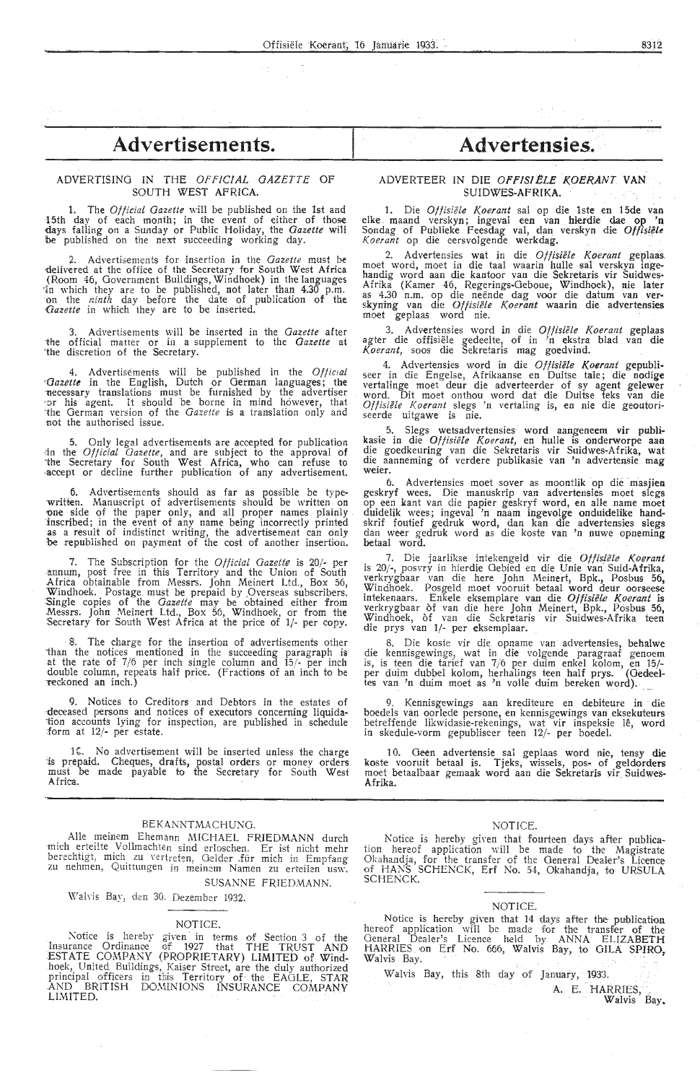## Advertisements. **Advertensies**.

#### ADVERTISING IN THE *OFFICIAL GAZETTE* OF SOUTH WEST AFRICA.

**1.** The *Official Gazette* will be published on the 1st and 15th day of each month; in the event of either of those <lays falling on a Sunday or Public Holiday, the *Gazette* **will**  be published on the next succeeding working day.

2. Advertisements for insertion in the *Gazette* must be delivered at the office of the Secretary for South West Africa ( Room 46, Government Buildings, Windhoek) in the languages ·fo which they are to be published, not later than 4.30 p.m. on the *ninth* day before the date of publication of the Gazette in which they are to be inserted.

3. Advertisements will be inserted in the *Gazette* after ihe official matter or in a supplement to the *Gazette* at ·the discretion of the Secretary.

4. Advertisements will be published in the *Official Cazette* in the English, Dutch or German languages; the *necessary translations must* be furnished by the advertiser •or his agent. It should be borne in mind however, that 1he German version of the *Gazette* is a translation only and not the authorised issue.

5. Only legal advertisements are accepted for publication in the *Official Gazette*, and are subject to the approval of 'the Secretary for South West Africa, who can refuse to -accept or decline further publication of any advertisement.

6. Advertisements should as far as possible be typewritten. Manuscript of advertisements should be written on one side of the paper only, and all proper names plainly inscribed; in the. event of any name being incorrectly printed as a result of indistinct writing, the advertisement can only be republished on payment of the cost of another insertion.

7. The Subscription for the *Official Gazette* is 20/· per annum, post free in this Territory and the Union of South Africa obtainable from Messrs. John Meinert Ltd., Box 56, Windhoek. Postage must be prepaid by ,Overseas subscribers. :Single copies of the *Gazette* may be obtained either from Messrs. John Meinert Ltd., Box 56, Windhoek, or from the Secretary for South West Africa at the price of 1/- per copy.

The charge for the insertion of advertisements other ihan the notices mentioned in the succeeding paragraph is at the rate of 7/6 per inch single column and 15/- per inch double column, repeats half price. (Fractions of an inch to be reckoned an inch.)

9. Notices to Creditors and Debtors in the estates of deceased persons and notices of executors concerning liquidation accounts lying for inspection, are published in schedule :form at 12/- per estate.

16. No advertisement will be inserted unless the charge 'is prepaid, Cheques, drafts, postal orders or monev orders must be made payable to the Secretary for South West Africa.

#### BEKANNTMACHUNG.

Alle meinem Ehemann MICHAEL FRIEDMANN durch mich erteilte Vollmachten sind erloschen. Er ist nicht mehr<br>berechtigt, mich zu vertreten, Gelder für mich in Empfang<br>zu nehmen, Quittungen in meinem Namen zu erteilen usw.

SUSANNE FRIEDMANN. Walvis Bay, den 30. Dezember 1932.

#### NOTICE.

Notice is hereby given in terms of Section 3 of the Insurance Ordinance of 1927 that THE TRUST AND ESTATE COMPANY (PROPRIETARY) LIMITED of Windhoek, United Buildings, Kaiser Street, are the duly authorized<br>principal officers in this Territory of the EAGLE, STAR -AND BRITISH DOMINIONS INSURANCE COMPANY LIMITED.

#### ADVERTEER IN DIE OFFISIELE KOERANT VAN SUIDWES-AFRIKA.

1. Die *Offisiële Koerant* sal op die 1ste en 15de van elke maand verskyn; ingeval een van hierdie dae op 'n Sondag of Publieke Feesdag val, dan verskyn die *Offisifle Koerant* op die eersvolgende werkdag,

2. Advertensies wat in die *Offisiële Koerant* geplaas.<br>moet word, moet in die taal waarin hulle sal verskyn inge-<br>handig word aan die kantoor van die Sekretaris vir Suidwes-Afrika (Kamer 46, Regerings-Geboue, Windhoek), nie later<br>as 4.30 n.m. op die neënde dag voor die datum van ver-<br>skyning van die *Offisiële Koerant* waarin die advertensies moet geplaas word nie.

3. Advertensies word in die Offisiële Koerant geplaas agter die offisiële gedeelte, of in 'n ekstra blad van die *Koerant,* soos die Sekretaris mag goedvind;

4. Advertensies word in die *Of fisiiile Koerant* gepubli- seer in die Engelse, Afrikaanse en Duitse tale; die nodige vertalinge moet deur die adverteerder of sy agent gelewer word. Dit moet onthou word dat die Duitse teks van die Offisiële Koerant slegs 'n vertaling is, en nie die geoutoriseerde uitgawe is nie.

5. Slegs wetsadvertensies word aangeneem vir publikasie in die *Of /isiiile Koerant,* en hulle is onderworpe aan die goedkeuring van die Sekretaris vir Suidwes-Afrika, **wat**  die aanneming of verdere publikasie van 'n advertensie mag **weier.** 

6. Advertensies moet sover as moontlik op die masjien geskryf wees. Die manuskrip van advertensies moet slegs op een kant van die papier geskryf word, en alle name rnoet duidelik wees; ingeval 'n naam ingevolge onduidelike handskrif foutief gedruk word, dan kan die advertensies slegs dan weer gedruk word as die koste van 'n nuwe opneming **betaal word.** 

7. Die jaarlikse intekengeld vir die Offisiële Koerant is 20/-, posvry in hierdie Oebied en die Unie van Suid-Afrika, verkrygbaar van die here John Meinert, Bpk., Posbus 56, Windhoek. Posgeld rnoet vooruit betaal word deur oorseese intekenaars. Enkele eksemplare van die *Oftisiiile Koerant* is verkrygbaar òf van die here John Meinert, Bpk., Posbus 56,<br>Windhoek, òf van die Sekretaris vir Suidwes-Afrika teen die prys van 1/- per eksemplaar.

8. Die koste vir die opname van advertensies, behalwe die kennisgewings, wat in die volgende paragraaf genoem is, is teen die tarief van 7/6 per duim enkel kolom, en 15/ per duim dubbel kolom, herhalings teen half prys. (Gedeeltes van 'n duim moet as 'n volle duim bereken word);

9. Kennisgewings aan krediteure en debiteure in die boedels van oorlede persone, en kennisgewings van eksekuteurs betreffende likwidasie-rekenings, wat vir inspeksie le, word in skedule-vorm gepubliseer teen 12/- per boedeL

10. Geen advertensie sal geplaas word nie, tensy die koste vooruit betaal is. Tjeks, wissels, pos- of geldorders moet betaalbaar gemaak word aan die Sekretaris vir Suidwes-**Afrika.** 

#### NOTICE.

Notice is hereby giren that fourteen days after publication hereof application will be made to the Magistrate<br>Okahandja, for the transfer of the General Dealer's Licence of HANS SCHENCK, Erf No. 54, Okahandja, to URSULA SCHENCK.

#### NOTICE.

Notice is hereby given that 14 days after the publication hereof application ·will be made for the transfer of the General Dealer's Licence held by ANNA ELIZABETH<br>HARRIES on Erf No. 666, Walvis Bay, to GILA \$PIRO,<br>Walvis Bay.

Walvis Bay, this 8th day of January, 1933.

A. E. HARRIES, . ··- Walvis Bay.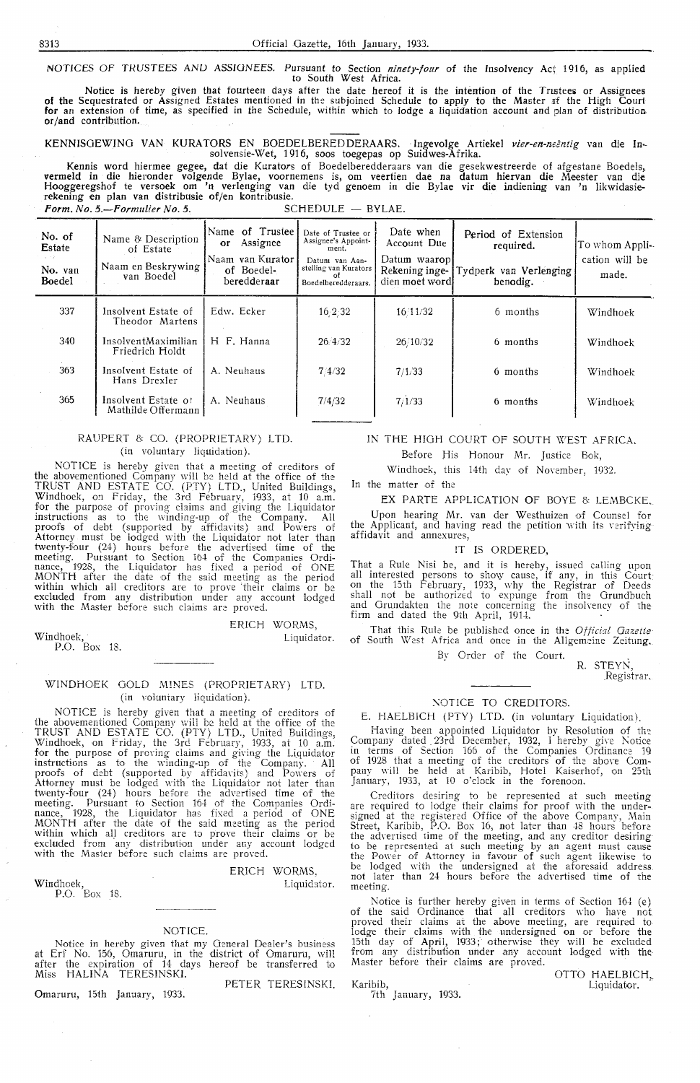NOTICES OF TRUSTEES AND ASSIGNEES. Pursuant to Section *ninety-four* of the Insolvency Act 1916, as applied to South West Africa.

Notice is hereby given that fourteen days after the date hereof it is the intention of the Trustees or Assignees of the Sequestrated or Assigned Estates mentioned in the subjoined Schedule to apply to the Master of the High Court for an extension of time, as specified in the Schedule, within which to lodge a liquidation account and plan of distribution or/and contribution.

KENNISOEWINO VAN KURATORS EN BOEDELBEREDDERAARS. Ingevolge Artiekel *vier-en-neentig* van die Insolvensie-Wet, 1916, soos toegepas op Suidwes-Afrika.

Kennis word hiermee gegee, dat die Kurators of Boedelberedderaars van die gesekwestreerde of afgestane Boedels, vermeld in die hieronder volgende Bylae, voornemens is, om veertien dae na datum hiervan die Meester van die<br>Hooggeregshof te versoek om 'n verlenging van die tyd genoem in die Bylae vir die indiening van 'n likwidasierekening en plan van distribusie of/en kontribusie. Form. No. 5.--Formulier No. 5. SCHEDULE - BYLAE.

**No. of** Name & Description<br> **Estate** of Estate Name of Trustee Date of Trustee or Date when or Assignee's Appoint-<br>nent. Account Due Period of Extension required. Estate State of Estate of Estate or Assignee Assignee's Appoint- Account Due required. To whom Appli-Naam en Beskrywing Naam van Kurator Datum van Aan- Datum waarop cation will be cation will be  $\frac{1}{2}$ No. van Journal van Boedel-<br>Roedel van Boedel beredderes Datum van Aanstelling van Kurators<br>stelling van Kurators<br>Boedelberedderaars. No. van  $\begin{bmatrix} \text{Naam} \text{en} \text{Beskrywing} \\ \text{van} \text{Boedel} \end{bmatrix}$  of Boedel beredderaar Boedelberedderaars. dien moet word benodig. 337 Insolvent Estate of Edw. Ecker 16,2,32 16/11/32 6 months Windhoek Theodor Martens 340 InsolventMaximilian H F. Hanna  $\begin{array}{|l} 26/4/32 \end{array}$  26/10/32  $\begin{array}{|l} 26/10/32 \end{array}$  6 months Windhoek Friedrich Holdt 363 Insolvent Estate of Hans Drexler A. Neuhaus  $7/4/32$ 365 | Insolvent Estate of | A. Neuhaus |  $7/4/32$ Mathilde Offermann 7 /1/33 6 months Windhoek  $7/1/33$  6 months Windhoek

#### RAUPERT & CO. (PROPRIETARY) LTD. (in voluntary liquidation).

NOTICE is hereby given that a meeting of creditors of the abovementioned Company will be held at the office of the TRUST AND ESTATE CO. (PTY) LTD., United Buildings, Windhoek, on Friday, the 3rd February, 1933, at 10 a.m. for the purpose of proving claims and giving the Liquidator instructions as to the winding-up of the Company. All proofs of debt (supported by affidavits) and Powers of Attorney must be lodged with the Liquidator not later than<br>twenty-four (24) hours before the advertised time of the meeting. Pursuant to Section 164 of the Companies Ordinance, 1928, the Liquidator has fixed a period of ONE **MONTH** after the date of the said meeting as the period within which all creditors are to prove their claims or be excluded from any distribution under any account lodged with the Master before such claims are proved.

Windhoek, P.O. Box 18. ERICH WORMS, Liquidator.

#### WINDHOEK GOLD MINES (PROPRIETARY) LTD. (in voluntary liquidation).

NOTICE is hereby given that a meeting of creditors of the abovementioned Company will be held at the office of the TRUST AND ESTATE CO. (PTY) LTD., United Buildings, Windhoek, on Friday, the 3rd February, 1933, at 10 a.m. for the purpose of pro\·ing claims and gi\'ing the Liquidator instructions as to the winding-up of the Company. All proofs of debt (supported by affidavits) and Powers of Attorney must be lodged with the Liquidator not later than twenty-four (24) hours before the advertised time of the meeting. Pursuant to Section 164 of the Companies Ordinance, 1928, the Liquidator has fixed a period Df ONE **MONTH** after the date of the said meeting as the period within which all creditors are to prove their claims or be excluded from any distribution under any account lodged excluded from any distribution under any account lodged with the Master before such claims are proved.

Windhoek, P.O. Box 18. ERICH WORMS,

Liquidator.

#### NOTICE.

Notice in hereby given that my GEneral Dealer's business at Erf No. 156, Omaruru, in the district of Omaruru, will after the expiration of 14 days hereof be transferred to Miss HALINA TERESINSKI.

Omaruru, 15th January, 1933.

PETER TERESINSKI.

#### IN THE HIGH COURT OF SOUTH WEST AFRICA.

Before His Honour Mr. Justice Bok,

Windhoek, this 14th day of November, 1932.

In the matter of the

EX PARTE APPLICATION OF BOYE & LEMBCKE,

Upon hearing Mr. van der Westhuizen of Counsel for the Applicant, and having read the petition with its verifying affidavit and annexures,

### !T IS ORDERED,

That a Rule Nisi be, and it is hereby, issued calling upon all interested persons to show cause, if any, in this Court on the 15th February, 1933, why the Registrar of Deeds shall not be authorized to expunge from the Orundbuch and Orundakten the note concerning the insolvency of the firm and dated the 9th April, 1914.

That this Rule be published once in the: *Officid Gazette*  of South West Africa and once in the Allgemeine Zeitung.

> Bv Order of the Court. R. STEYN,

Registrar.

#### NOTICE TO CREDITORS.

E. HAELBICH (PTY) LTD. (in voluntary Liquidation). Having been appointed Liquidator by Resolution of the Company dated 23rd December, 1932, I hereby give Notice in terms of Section 166 of the Companies Ordinance 19 of 1928 that a meeting of the creditors of the above Company will be held at Karibib, Hotel Kaiserhof, on 25th January, 1933, at 10 o'clock in the forenoon.

Creditors desiring to be represented at such meeting are required to lodge their claims for proof with the undersigned at the registered Office of the above Company, Main Street, Karibib, P.O. Box 16, not later than 48 hours before the advertised time of the meeting, and any creditor desiring to be represented at such meeting by an agent must cause<br>the Power of Attorney in favour of such agent likewise to be lodged with the undersigned at the aforesaid address. not later than 24 hours before the advertised time of the meeting.

Notice is further hereby given in terms of Section 164 (e) of the said Ordinance that all creditors who have not proved their claims at the above meeting, are required to lodge their claims with the undersigned on or before the 15th day of April, 1933; otherwise they wili be excluded from any distribution under any account lodged with the Master before their claims are proved.

Karibib, 7th January, 1933. OTTO HAELBICH, Liquidator.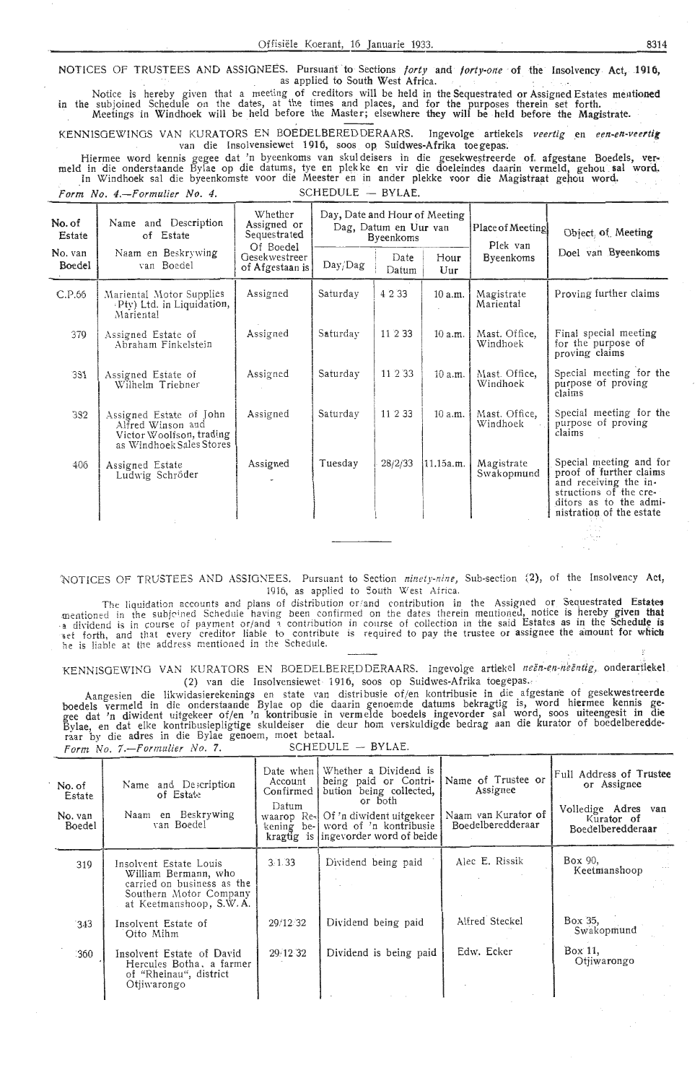NOTICES OF TRUSTEES AND ASSIGNEES. Pursuant to Sections *forty and forty-one* of the Insolvency Act, 1916, as applied to South West Africa. \_ as applied to South West Africa. .

Notice is hereby given that a meeting of creditors will be held in the Sequestrated or Assigned Estates mentioned in the subJomed Schedule on the dates, at the times and places, and for the purposes therein set forth. Meetings in Windhoek will be held before the Master; elsewhere they will be held before the Magistrate.

KENNISGEWINGS VAN KURATORS EN BOEDELBERED DERAARS. Ingevolge artiekels *veertig* en een-en-veertig van die Insolvensiewet 1916, soos op Suidwes-Afrika toegepas.

Hiermee word kennis gegee dat 'n byeenkoms van skuldeisers in die gesekwestreerde of. afgestane Boedels, vermeld in die onderstaande Bylae op die datums, tye en plekke en vir die doeleindes daarin vermeld, gehou sal word. In Windhoek sal die byeenkomste voor die Meester en in ander plekke voor die Magistraat gehou word. *Form No. 4.*-*Formulier No. 4.* SCHEDULE - BYLAE.

| No. of<br>Estate  | Name and Description<br>of Estate                                                                    | Whether<br>Assigned or<br>Sequestrated<br>Of Boedel | Day, Date and Hour of Meeting<br>Dag, Datum en Uur van<br><b>Byeenkoms</b> |               |                | Place of Meeting<br>Plek van | Object, of Meeting                                                                                                                                          |  |  |
|-------------------|------------------------------------------------------------------------------------------------------|-----------------------------------------------------|----------------------------------------------------------------------------|---------------|----------------|------------------------------|-------------------------------------------------------------------------------------------------------------------------------------------------------------|--|--|
| No. van<br>Boedel | Naam en Beskrywing<br>van Boedel                                                                     | Gesekwestreer<br>of Afgestaan is                    | Day/Dag                                                                    | Date<br>Datum | Hour<br>$U$ ur | <b>Byeenkoms</b>             | Doel van Byeenkoms                                                                                                                                          |  |  |
| C.P.66            | Mariental Motor Supplies<br>Pty) Ltd. in Liquidation,<br>Mariental                                   | Assigned                                            | Saturday                                                                   | 4 2 3 3       | 10 a.m.        | Magistrate<br>Mariental      | Proving further claims                                                                                                                                      |  |  |
| 379               | Assigned Estate of<br>Abraham Finkelstein                                                            | Assigned                                            | Saturday                                                                   | 11 2 33       | 10a.m.         | Mast. Office,<br>Windhoek    | Final special meeting<br>for the purpose of<br>proving claims                                                                                               |  |  |
| 331               | Assigned Estate of<br>Wilhelm Triebner                                                               | Assigned                                            | Saturday                                                                   | 11 2 33       | 10 a.m.        | Mast. Office,<br>Windhoek    | Special meeting for the<br>purpose of proving<br>claims                                                                                                     |  |  |
| 332               | Assigned Estate of John<br>Alfred Winson and<br>Victor Woolfson, trading<br>as Windhoek Sales Stores | Assigned                                            | Saturday                                                                   | 11 2 33       | 10 a.m.        | Mast. Office,<br>Windhoek    | Special meeting for the<br>purpose of proving<br>claims                                                                                                     |  |  |
| 406               | Assigned Estate<br>Ludwig Schröder                                                                   | Assigned                                            | Tuesday                                                                    | 28/2/33       | 11.15a.m.      | Magistrate<br>Swakopmund     | Special meeting and for<br>proof of further claims<br>and receiving the in-<br>structions of the cre-<br>ditors as to the admi-<br>nistration of the estate |  |  |
|                   |                                                                                                      |                                                     |                                                                            |               |                |                              |                                                                                                                                                             |  |  |

'NOTICES OF TRUSTEES AND ASSIGNEES. Pursuant to Section *ninety-nine*, Sub-section 12), of the Insolvency Act, 1916, as applied to South West Africa.

The liquidation accounts and plans of distribution or/and contribution in the Assigned or Sequestrated Estates mentioned in the subjoined Schedule having been confirmed on the dates therein mentioned, notice is hereby given that a dividend is in course of payment or/ and a contribution in course of collection in the said Estates as in the Schedule is set forth, and that every creditor liable to contribute is required to pay the trustee or assignee the amount for which he is liable at the address mentioned in the Schedule.

KENNISGEWING VAN KURATORS EN BOEDELBEREDDERAARS. Ingevolge artiekel *neën-en-neëntig*, onderartiekel (2) van die Insolvensiewet- 1916, soos op Suidwes-Afrika toegepas.

Aangesien die likwidasierekenings en state van distribusie of/en kontribusie in die afgestane of gesekwestreerde boedels vermeld in die onderstaande Bylae op die daarin genoemde datums bekragtig is, word hiermee kennis gegee dat 'n diwident uitgekeer of/en 'n kontribusie in vermelde boedels ingevorder sal word, soos uiteengesit in die Bylae, en dat elke kontribusiepligtige skuldeiser die deur horn verskuldigde bedrag aan die kurator of boedelberedderaar by die adres in die Bylae genoem, moet betaal.

*Porm No . 7.-f'ormulier No.* 7. SCHEDULE - BYLAE.

| No. of<br>Estate<br>No. van<br>Boedel | Name and Description<br>of Estate<br>Naam en Beskrywing<br>van Boedel                                                             | Date when<br>Account<br>Confirmed<br>Datum<br>waarop Re- | Whether a Dividend is<br>being paid or Contri-<br>bution being collected,<br>or both<br>Of 'n diwident uitgekeer<br>kening be- word of 'n kontribusie<br>kragtig is ingevorder word of beide | Name of Trustee or<br>Assignee<br>Naam van Kurator of<br>Boedelberedderaar | Full Address of Trustee<br>or Assignee<br>Volledige Adres<br>van<br>Kurator of<br>Boedelberedderaar |
|---------------------------------------|-----------------------------------------------------------------------------------------------------------------------------------|----------------------------------------------------------|----------------------------------------------------------------------------------------------------------------------------------------------------------------------------------------------|----------------------------------------------------------------------------|-----------------------------------------------------------------------------------------------------|
| 319                                   | Insolvent Estate Louis<br>William Bermann, who<br>carried on business as the<br>Southern Motor Company<br>at Keetmanshoop, S.W.A. | 3.1.33                                                   | Dividend being paid                                                                                                                                                                          | Alec E. Rissik                                                             | Box 90,<br>Keetmanshoop                                                                             |
| 343                                   | Insolvent Estate of<br>Otto Mihm                                                                                                  | 29/12 32                                                 | Dividend being paid                                                                                                                                                                          | Alfred Steckel                                                             | Box 35,<br>Swakopmund                                                                               |
| 360                                   | Insolvent Estate of David<br>Hercules Botha, a farmer<br>of "Rheinau", district<br>Otjiwarongo                                    | 29/12 32                                                 | Dividend is being paid                                                                                                                                                                       | Edw. Ecker                                                                 | Box 11,<br>Otjiwarongo                                                                              |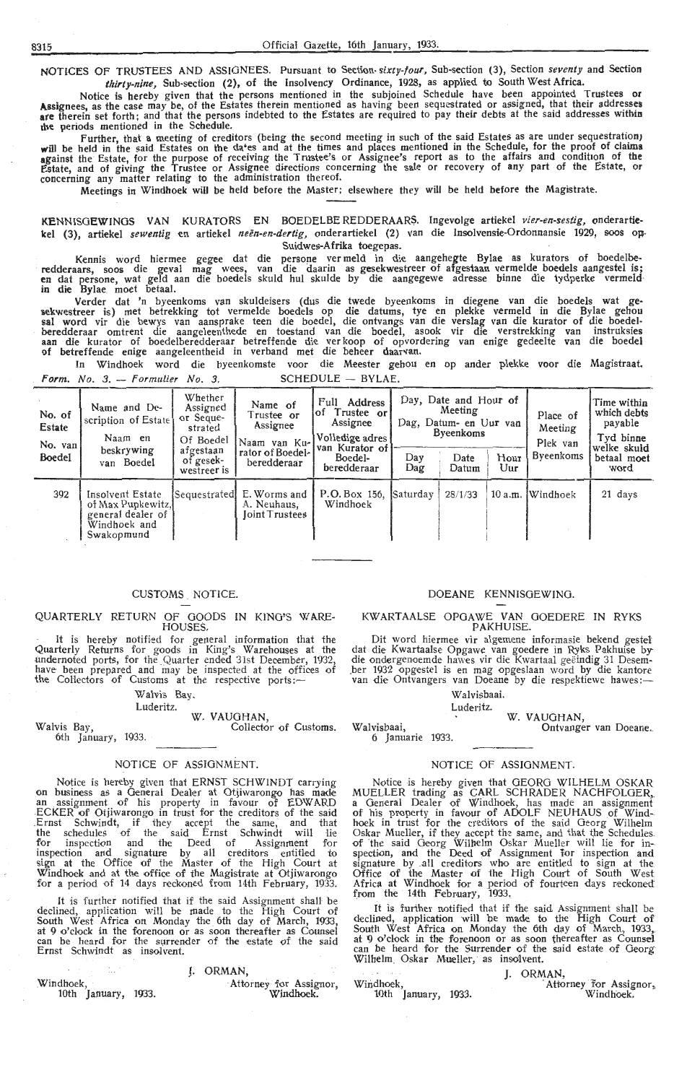NOTICES OF TRUSTEES AND ASSIGNEES. Pursuant to Section- *sixty-four,* Sub-section (3), Section *seventy* and Section *thirty-nine,* Sub-section (2), of the Insolvency Ordinance, 1928, as applied to South West Africa.

Notice is hereby given that the persons mentioned in the subjoined Schedule have been appointed Trustees or<br>Assignees, as the case may be, of the Estates therein mentioned as having been sequestrated or assigned, that thei are therein set forth; and that the persons indebted to the Estates are required to pay their debts at the said address**e**s withi**n** che periods mentioned in the Schedule.

Further, that a meeting of creditors (being the second meeting in such of the said Estates as are under sequestration) **will** be held in the said Estates on the da•es and at the times and places mentioned in the Schedule, for the proof of **claims against** the Estate, for the purpose of receiving the Trustee's or Assignee's report as to the affairs and condition of the Estate, and of giving the Trustee or Assignee directions concerning the sale or recovery of any part of the Estate, or<br>concerning any matter relating to the administration thereof.

Meetings in Windhoek will be held before the Master; elsewhere they will be held before the Magistrate.

. KENNISGEWINGS VAN KURA TORS EN BOEDELBE REDDERAARS. Ingevolge artiekel *vier-en-sestig,* onderartie**kel** (3), artiekel *sewentig* en artiekel *neen-en-dertig,* onderartiekel (2) van die Insolvensie-Ordonnansie 1929, soos op- Suidwes-Afrika toegepas.

Kennis word hiermee gegee dat die persone vermeld in die aangehegte Bylae as kurators of boedelbe-<br>redderaars, soos die geval mag wees, van die daarin as gesekwestreer of afgestaan vermelde boedels aangestel is;<br>•en dat pe in die Bylae moet betaal.

Verder dat 'n byeenkoms van skuldeisers (dus die twede byeenkoms in diegene van die boedels wat gesekwestreer is) met betrekking tot vermelde boedels op die datums, tye en plekke vermeld in die Bylae gehou sal word vir die bewys van aansprake teen die boedel, die ontvangs van die verslag van die kurator of die boedelberedderaar omtrent die aangeleenthede en toestand van die boedel, asook vir die verstrekking van instruksies<br>aan die kurator of boedelberedderaar betreffende die verkoop of opvordering van enige gedeelte van die boedel of betreffende enige aangeleentheid in verband met die beheer daarvan.

In Windhoek word die byeenkomste voor die Meester gehou en op ander plekke voor die Magistraat. *Form. No. 3. - Formulier No. 3.* SCHEDULE - BYLAE.

| No. of<br>Estate<br>No. van<br>Boedel | Name and De-<br>scription of Estate<br>Naam en<br>beskrywing<br>van Boedel               | Whether<br>Assigned<br>or Seque-<br>strated<br>Of Boedel<br>afgestaan<br>of gesek-<br>westreer is | Name of<br>Truste <b>e or</b><br>Assignee<br>Naam van Ku-<br>rator of Boedel-<br>beredderaar | Full Address<br>Trustee or<br>lof<br>Assignee<br>Volledige adres<br>van Kurator of<br>Boedel-<br>beredderaar | Day<br>Dag | Day, Date and Hour of<br>Meeting<br>Dag, Datum- en Uur van<br><b>Byeenkoms</b><br>Date<br>Datum | Hour<br>$U$ ur | Place of<br>Meeting<br>Plek van<br><b>Byeenkoms</b> | Time within<br>which debts<br>payable<br>Tyd binne<br>welke sku <b>ld</b><br>betaal moet<br>word |
|---------------------------------------|------------------------------------------------------------------------------------------|---------------------------------------------------------------------------------------------------|----------------------------------------------------------------------------------------------|--------------------------------------------------------------------------------------------------------------|------------|-------------------------------------------------------------------------------------------------|----------------|-----------------------------------------------------|--------------------------------------------------------------------------------------------------|
| 392                                   | Insolvent Estate<br>of Max Pupkewitz,<br>general dealer of<br>Windhoek and<br>Swakopmund | Sequestrated                                                                                      | E. Worms and<br>A. Neuhaus.<br><b>Joint Trustees</b>                                         | P.O. Box 156.<br>Windhoek                                                                                    | Saturday   | 28/1/33                                                                                         |                | 10 a.m. Windhoek                                    | 21 days                                                                                          |

#### CUSTOMS . NOTICE.

QUARTERLY RETURN OF GOODS IN KING'S WARE-HOUSES.

It is hereby notified for general information that the Quarterly Returns for goods in King's Warehouses at the undernoted ports, for the Quarter ended 31st December, 1932, have been prepared and may be inspected at the offices of<br>the Collectors of Customs at the respective ports:—

#### Walvis Bay.

#### Luderitz. W. VAUGHAN,

Walvis Bay, Collector of Customs. 6th January, 1933.

#### NOTICE OF ASSIGNMENT.

Notice is hereby given that ERNST SCHWINDT carrying on business as a General Dealer at Otjiwarongo has made an assignment of his property in favour of EDWARD ECKER of Otjiwarongo in trust for the creditors of the said .Ernst Schwindt, if they accept the same, and that the schedules of the said Ernst Schwindt will lie for inspection and the Deed of Assignment for inspection and signature by all creditors entitled to sign at the Office of the Master of the High Court at Windhoek and at the office of the Magistrate at Otjiwarongo for a period of 14 days reckoned from 14th February, 1933.

It is further notified that if the said Assignment shall be declined, application will be made to the High Court of South West Africa on Monday the 6th day of March, 1933, at 9 o'clock in the forenoon or as soon thereafter as Counsel can be heard for the surrender of the estate of the said can be heard for the surrender of the estate of the said<br>Ernst Schwindt as insolvent.

|                     |  | I. ORMAN.              |           |
|---------------------|--|------------------------|-----------|
| Windhoek,           |  | Attorney for Assignor, |           |
| 10th January, 1933. |  |                        | Windhoek. |

### DOEANE KENNISGEWING.

#### KWARTAALSE OPGAWE VAN GOEDERE IN RYKS PAKHUISE.

Dit word hiermee vir algemene inforrnasie bekend gestel' dat die Kwartaalse Opgawe van goedere in Ryks Pakhuise by die ondergenoemde hawes vir die Kwartaal geëindig 31 Desem-<br>ber 1932 opgestel is en mag opgeslaan word by die kantore<br>van die Ontvangers van Doeane by die respektiewe hawes :-

#### Walvisbaai.

Luderitz.

W. VAUGHAN, Ontvanger van Doeane.

Walvisbaai, 6 Januarie 1933.

#### NOTICE OF ASSIGNMENT.

Notice is hereby given that GEORG WILHELM OSKAR MUELLER trading as CARL SCHRADER NACHFOLGER,<br>a General Dealer of Windhoek, has made an assignment of his property in favour of ADOLF NEUHAUS of Windhoek in trust for the creditors of the said Georg Wilhelm Oskar Mueller, if they accept the same, and that the Schedules of the said Georg Wilhelm Oskar Mueller will lie for in--<br>spection, and the Deed of Assignment for inspection and signature by all creditors who are entitled to sign at the<br>Office of the Master of the High Court of South West Africa at Windhoek for a period of fourteen days reckoned from the 14th February, 1933,

It is further notified that if the said Assignment shall be declined, application will be made to the High Court of South West Africa on Monday the 6th day of March, 1933, at 9 o'clock in the foremoon or as soon thereafter as Counsel can be heard for the Surrender of the said estate of Georg can be heard for the Surrender of the said estate of Georg Wilhelm Oskar Mueller, as insolvent.

Windhoek, 10th January, 1933. **J.** ORMAN,<br><sup>^</sup>Attorney for Assignor, Windhoek.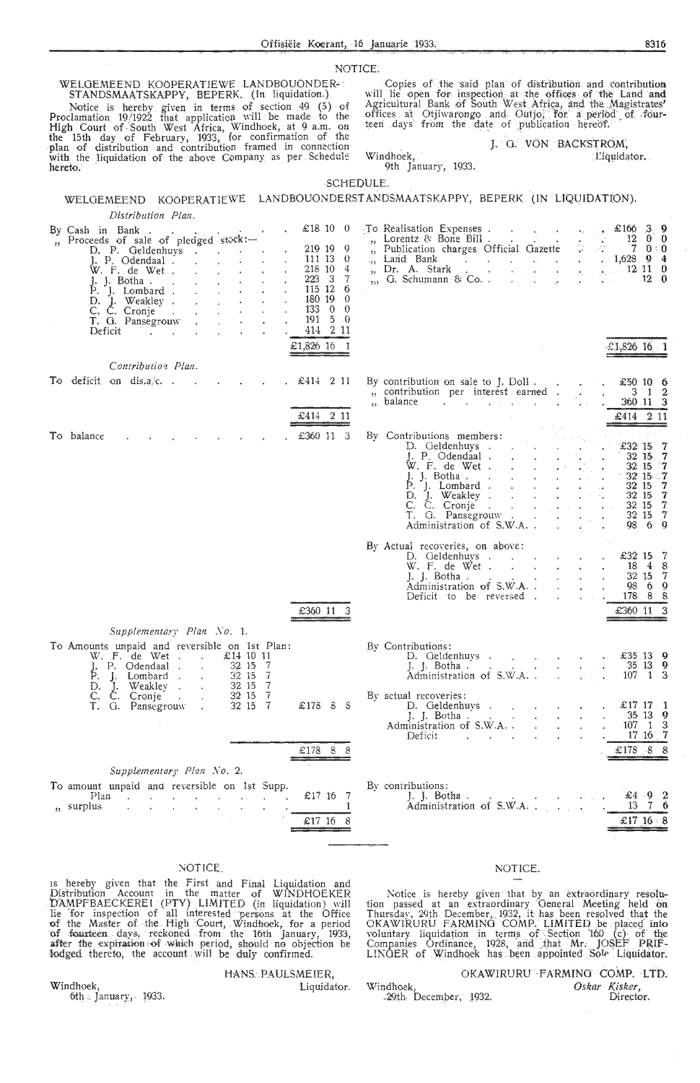#### NOTICE:

WELGEMEEND KOÖPERATIEWE LANDBOUONDER-<br>
STANDSMAATSKAPPY, BEPERK. (In liquidation.)<br>
Notice is hereby given in terms of section 49 (5) of<br>
Proclamation 19/1922 that application will be made to the<br>
High Court of South West hereto.

Copies of the said plan of distribution and contribution Vill lie open for inspection at the offices of the Land and<br>Agricultural Bank of South West Africa, and the Magistrates'<br>offices at Otjiwarongo and Outjo, for a period of four-<br>teen days from the date of publication hereof

> J. G. VON BACKSTROM, Liquidator.

Windhoek, 9th January, 1933.

#### SCHEDULE. in de la caracterí

|                                                                                                                                                                                                                                                                                                                                                                                                        |                                                                                                                                                                                                                                      | WELGEMEEND KOÖPERATIEWE LANDBOUONDERSTANDSMAATSKAPPY, BEPERK (IN LIQUIDATION).                                                                                                                                                                                                                                                              |                                                                                                        |
|--------------------------------------------------------------------------------------------------------------------------------------------------------------------------------------------------------------------------------------------------------------------------------------------------------------------------------------------------------------------------------------------------------|--------------------------------------------------------------------------------------------------------------------------------------------------------------------------------------------------------------------------------------|---------------------------------------------------------------------------------------------------------------------------------------------------------------------------------------------------------------------------------------------------------------------------------------------------------------------------------------------|--------------------------------------------------------------------------------------------------------|
| Distribution Plan.                                                                                                                                                                                                                                                                                                                                                                                     |                                                                                                                                                                                                                                      |                                                                                                                                                                                                                                                                                                                                             |                                                                                                        |
| By Cash in Bank.<br>", Proceeds of sale of pledged stock:-<br>D. P. Geldenhuys<br>J. P. Odendaal.<br>W. F. de Wet.<br>$\mathcal{L}(\mathcal{L}^{\mathcal{L}})$ , where $\mathcal{L}^{\mathcal{L}}$ and $\mathcal{L}^{\mathcal{L}}$<br>$P.$ J. Lombard $\cdot$ $\cdot$ $\cdot$ $\cdot$<br>D. J. Weakley<br>C. Č. Cronje $\vdots$ $\vdots$ $\vdots$<br>Deficit<br>and the con-<br>$\Delta \sim 10^{-11}$ | £ $18100$<br>219 19<br>9<br>111 13 0<br>218 10<br>4<br>$223 \t3$<br>-7<br>115 12<br>6<br>$\mathbf{z}^{(n)}$<br>180 19 0<br>$133 \t0 \t0$<br>$\mathcal{L}^{\text{max}}$<br>$\epsilon$<br>$5\quad 0$<br>191<br>414 2 11<br>£1,826 16 1 | To Realisation Expenses<br>$\frac{12}{12}$ b $\frac{0}{12}$ b $\frac{0}{12}$ b $\frac{0}{12}$ contents of bone but.<br>", Land Bank 1,628 9 4<br>Dr. A. Stark 12 11 0<br>$\overline{\mathbf{H}}$<br>$\ldots$ , G. Schumann & Co. $\ldots$<br>$\sim 100$ km s $^{-1}$<br>$\mathbf{u} = \mathbf{u}$                                           | $£166$ 3 9<br>12 0 0<br>12.0<br>$\text{\pounds}1,826$ 16 1                                             |
| Contribution Plan.                                                                                                                                                                                                                                                                                                                                                                                     |                                                                                                                                                                                                                                      |                                                                                                                                                                                                                                                                                                                                             |                                                                                                        |
| To deficit on dis.a/c<br><b>Contractor</b><br>$\mathbf{w} = \mathbf{w}$ .                                                                                                                                                                                                                                                                                                                              | . £414 211<br>$£414$ 2 11                                                                                                                                                                                                            | By contribution on sale to J. Doll<br>", contribution per interest earned<br>", balance<br>and the contract of the contract of the contract of the contract of the contract of the contract of the contract of the contract of the contract of the contract of the contract of the contract of the contract of the contra                   | £50 10 6<br>$3 \quad 1 \quad 2$<br>360 11 3<br>£414 2 11                                               |
| To balance                                                                                                                                                                                                                                                                                                                                                                                             | £360 11 3                                                                                                                                                                                                                            | By Contributions members:<br>D. Geldenhuys<br>$\mathcal{L} = \mathcal{L} \cup \mathcal{L}$<br>C. C. Cronje de la contra de la contra de la contra de la contra de la contra de la contra de la contra de la<br>T. G. Pansegrouw                                                                                                             | $£32$ 15 7<br>32 15 7<br>$32 \t15 \t7$<br>3215.7<br>32 15 7<br>32 15 7<br>32 15 7<br>32 15 7<br>98 6 9 |
|                                                                                                                                                                                                                                                                                                                                                                                                        | £360 11 3                                                                                                                                                                                                                            | By Actual recoveries, on above:<br>D. Geldenhuys<br>W. F. de Wet $\cdots$ $\cdots$<br>$\mathcal{L}^{\mathcal{A}}$ . The set of the set of the set of $\mathcal{L}^{\mathcal{A}}$<br>$\left  \cdot \right $ . Botha.<br>$\Delta \sim 10^{-11}$<br>Administration of S.W.A<br>$\mathcal{L}^{\text{max}}$<br>$\sim$<br>Deficit to be reversed. | £32 15 7<br>18 4 8<br>$\mathbf{z}$ and $\mathbf{z}$<br>32 15 7<br>98 6 9<br>178 8 8<br>3<br>£360 11    |
| Supplementary Plan No. 1.<br>To Amounts unpaid and reversible on 1st Plan:<br>W. F. de Wet<br>£14 10 11<br>32 15 7<br>I. P. Odendaal<br>32 15 7<br>P. J. Lombard<br>D. J. Weakley                                                                                                                                                                                                                      | 32 15 7                                                                                                                                                                                                                              | By Contributions:<br>D. Geldenhuys                                                                                                                                                                                                                                                                                                          | £35.13 $9$<br>$35 \t13 \t9$<br>$107$ 1 3                                                               |
| C.<br>C. Cronie .<br>T. G. Pansegrouw.                                                                                                                                                                                                                                                                                                                                                                 | $32\,15\quad7$<br>32 15 7<br>$£178$ $8$ $8$                                                                                                                                                                                          | By actual recoveries:<br>D. Geldenhuvs<br>J. J. Botha<br>Administration of S.W.A. .<br>Deficit                                                                                                                                                                                                                                              | $£17$ 17 1<br>$\begin{array}{ccc} 35 & 13 & 9 \\ 107 & 1 & 3 \end{array}$<br>$17 \t16 \t7$             |
|                                                                                                                                                                                                                                                                                                                                                                                                        | £178 8 8                                                                                                                                                                                                                             |                                                                                                                                                                                                                                                                                                                                             | £178 8 8                                                                                               |
| Supplementary Plan No. 2.<br>To amount unpaid and reversible on 1st Supp.<br>Plan<br>" surplus                                                                                                                                                                                                                                                                                                         | £17 16 7<br>1<br>$£17$ 16 8                                                                                                                                                                                                          | By contributions:<br>J. J. Botha.<br>Administration of S.W.A                                                                                                                                                                                                                                                                                | £4.9.2<br>13 7<br>£17 16 8                                                                             |
|                                                                                                                                                                                                                                                                                                                                                                                                        |                                                                                                                                                                                                                                      |                                                                                                                                                                                                                                                                                                                                             |                                                                                                        |

## NOTICE.

Is hereby given that the First and Final Liquidation and<br>Distribution Account in the matter of WINDHOEKER<br>DAMPFBAECKEREI (PTY) LIMITED (in liquidation) will<br>lie for inspection of all interested persons at the Office<br>of the

#### Windhoek,

6th  $\epsilon$  January, 1933.

#### HANS PAULSMEIER, Liquidator.

#### NOTICE.

Notice is hereby given that by an extraordinary resolution passed at an extraordinary General Meeting held on Thursday, 29th December, 1932, it has been resolved that the OKAWIRURU FARMING COMP. LIMITED be placed into volu

#### OKAWIRURU FARMING COMP. LTD. Windhoek Oskar Kisker, -29th, December, 1932. Director.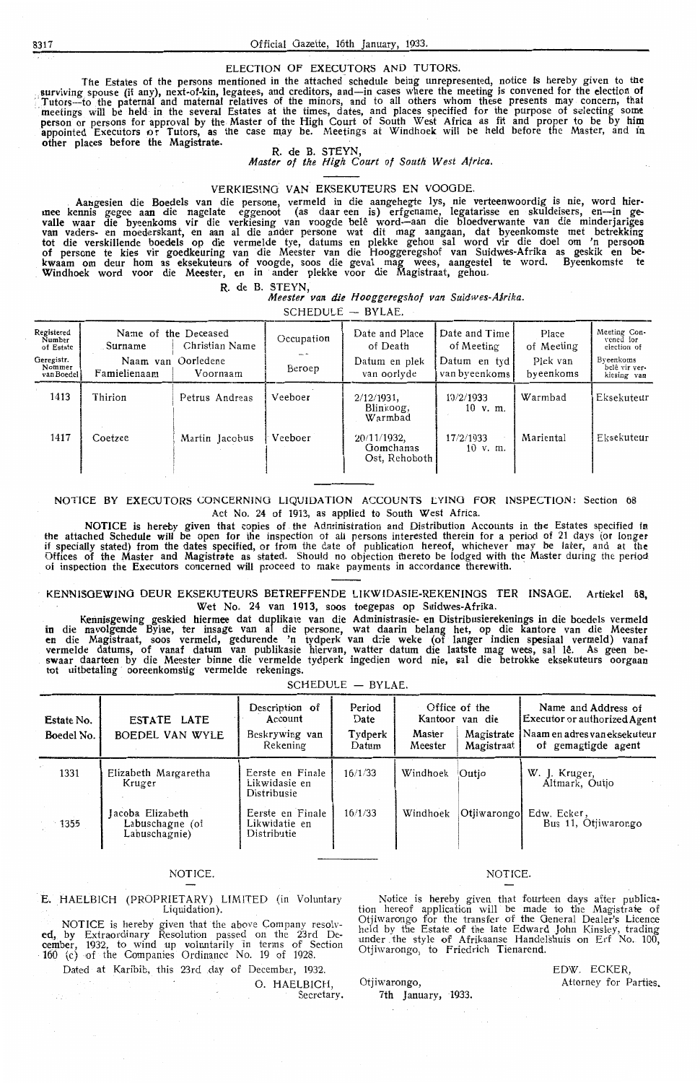ELECTION OF EXECUTORS AND TUTORS.<br>The Estates of the persons mentioned in the attached schedule being unrepresented, notice is hereby given to the The Estates of the persons mentioned in the attached schedule being unrepresented, notice is hereby given to the<br>surviving spouse (if any), next-of-kin, legatees, and creditors, and—in cases where the meeting is convened f Tutors—to the paternal and maternal relatives of the minors, and to all others whom these presents may concern, that meetings will be held in the several Estates at the times, dates, and places specified for the purpose of appointed Executors or Tutors, as the case may be. Meetings at Windhoek will be held before the Master, and in other places before the Magistrate.<br>R. de B. STEYN,

*Master of the High Court of South West Africa.* 

## VERKIESINO **VAN** EKSEKUTEURS EN VOOODE.

Aa11gesien die Boedels van die persone, vermeld in die aangehegte lys, nie verteenwoordig is nie, word hier• mee kennis gegee aan die nagelate eggenoot (as daar eeri is) erfgename, legatarisse en skuldeisers, en-in gevalle waar die byeenkoms vir die verkiesing van voogde belê word—aan die bloedverwante van die minderjariges<br>van vaders- en moederskant, en aan al die ander persone wat dit mag aangaan, dat byeenkomste met betrekking tot die verskillende boedels op die vermelde tye, datums en plekke gehou sal word vir die doel om 'n persoon of persone te kies vir goedkeuring van die Meester van die Hooggeregshof van Suidwes-Afrika as geskik en belcwaam om deur horn as eksekuteurs of voogde, soos die geval mag wees, aangestel te word. Byecnkomste te Windhoek word voor die Meester, en in ander plekke voor die Magistraat, gehou.

**R.** de **B.** STEYN,

*Meester van die Hooggeregshof van Suidwes-Afirika.* 

 $SCHEDULE - BYLAE.$ 

| Registered<br>Number<br>of Estate  | . Surname    | Name of the Deceased<br>Christian Name | Occupation | Date and Place<br>of Death                | Date and Time<br>of Meeting    | Place<br>of Meeting   | Meeting Con-<br>vened for<br>election of  |
|------------------------------------|--------------|----------------------------------------|------------|-------------------------------------------|--------------------------------|-----------------------|-------------------------------------------|
| Geregistr.<br>Nommer<br>van Boedel | Famielienaam | Naam van Oorledene<br>Voornaam         | Beroep     | Datum en plek<br>van oorlyde              | Datum en tyd!<br>van byeenkoms | Plek van<br>byeenkoms | Byeenkoms<br>belê vir ver-<br>kiesing van |
| 1413                               | Thirion      | Petrus Andreas                         | Veeboer    | $2/12/1931$ ,<br>Blinkoog,<br>Warmbad     | 10/2/1933<br>$10$ v. m.        | Warmbad               | Eksekuteur                                |
| 1417                               | Coetzee      | Martin Jacobus                         | Veeboer    | 20/11/1932,<br>Gomchanas<br>Ost, Rehoboth | 17/2/1933<br>$10 \,$ v. m.     | Mariental             | Eksekuteur                                |

#### NOTICE BY EXECUTORS CONCERNING LIQUIDATION ACCOUNTS LYING FOR INSPECTION: Section 08 Act No. 24 of 19i3, as applied to South West Africa.

NOTICE is hereby given that copies of the Administration and Distribution Accounts in the Estates specified in the attached Schedule will be open for the inspection ot all persons interested therein for a period of 21 days (or longer if specially stated) from the dates specified, or from the date of publication hereof, whichever may be later, and at the Offices of the Master and Magistrate as stated. Should no objection thereto be lodged with the Master during the period of inspection the Executors concerned will proceed to make payments in accordance therewith.

#### KENNI5OEWINO DEUR EKSEKUTEURS BETREFFENDE LIKWIDASIE-REKENINOS TER INSAOE. Artiekel 68, Wet No. 24 van 1913, soos toegepas op Suidwes-Afrika

Kennisgewing geskied hiermee dat duplikate van die Administrasie- en Distribusierekenings in die boedels vermeld in die navolg,ende Bylae, ter insage van al die persone, wat daarin belang het, op die kantore van die Meester **en** die Magistraat, soos vermeld, gedurende 'n tydperk van drie weke (of langer indien spesiaal vermeld) vanaf vermelde datums, of vanaf datum van publikasie hiervan, watter datum die laatste mag wees, sal lê. As geen be-<br>swaar daarteen by die Meester binne die vermelde tydperk ingedien word nie, sal die betrokke eksekuteurs oorgaa tot uitbetaling ooreenkomstig vermelde rekenings.

 $SCHEDULE - BYLAE$ .

| Estate No.<br>Boedel No. | ESTATE LATE<br>BOEDEL VAN WYLE                       | Description of<br>Account<br>Beskrywing van<br>Rekening | Period<br>Date<br>Tydperk<br>Datum | Master<br>Meester | Office of the<br>Kantoor van die<br>Magistrate<br>Magistraat | Name and Address of<br>Executor or authorized Agent<br>Naam en adres van eksekuteur<br>of gemagtigde agent |
|--------------------------|------------------------------------------------------|---------------------------------------------------------|------------------------------------|-------------------|--------------------------------------------------------------|------------------------------------------------------------------------------------------------------------|
| 1331                     | Elizabeth Margaretha<br>Kruger                       | Eerste en Finale<br>Likwidasie en<br>Distribusie        | 16/1/33                            | Windhoek          | Outio                                                        | W. J. Kruger,<br>Altmark, Outjo                                                                            |
| $-1355$                  | Jacoba Elizabeth<br>Labuschagne (of<br>Labuschagnie) | Eerste en Finale<br>Likwidatie en<br>Distributie        | 16/1/33                            | Windhoek          | Otjiwarongo                                                  | Edw. Ecker,<br>Bus 11, Otiiwarongo                                                                         |

### **NOTICE**

E. HAELBICH (PROPRIETARY) LIMITED (in Voluntary Liquidation)

NOTICE is hereby given that the above Company resolved, by Extraordinary Resolution passed on the 23rd December, 1932, to wind up voluntarily in terms of Section 160 (c) of the Companies Ordinance No. 19 of 1928.

Dated at Karibib, this 23rd .day of December, 1932.

O. HAELBICH

Secretary.

Otjiwarongo.

7th January, 1933

#### **NOTICE**

Notice is hereby given that fourteen days after publication hereof application will be made to the Magistrate of Otjiwarongo for the transfer of the General Dealer's Licence held by the Estate of the late Edward John Kinsley, trading under the style of Afrikaanse Handelshuis on Erf No. 100, Otjiwarongo, to Friedrich Tienarend.

EDW. ECKER, Attorney for Parties.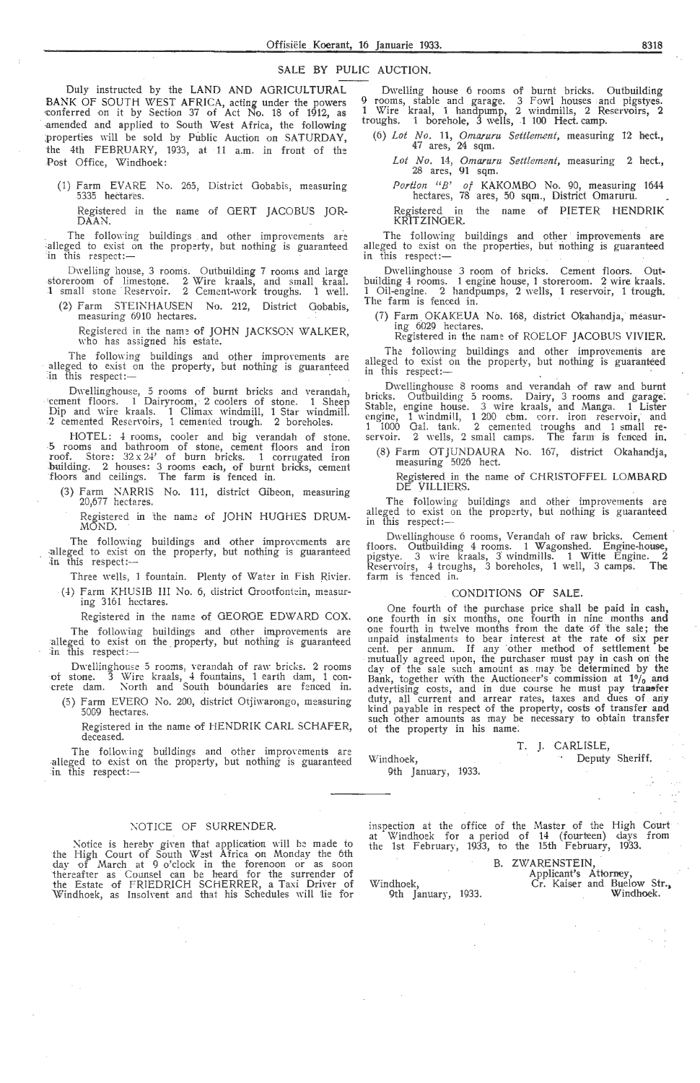#### SALE BY PULIC AUCTION.

Duly instructed by the LAND AND AGRICULTURAL BANK OF SOUTH WEST AFRICA, acting under the powers ~onferred on it by Section 37 of Act No. 18 of 1912, as -amended and applied to South West Africa, the following properties will be sold by Public Auction on SATURDAY, the 4th FEBRUARY, 1933, at 11 a.m. in front of the Post Office, Windhoek:

(1) Farm EVARE No. 265, District Gobabis, measuring 5335 hectares.

Registered in the name of GERT JACOBUS JOR-DAAN.

The following buildings and other improvements are alleged to exist on the property, but nothing is guaranteed in this respect:-

Dwelling house, 3 rooms. Outbuilding 7 rooms and large storeroom of limestone. 2 Wire kraals, and small kraal. 1 small stone Reservoir. 2 Cement-work troughs. 1 well.

(2) Farm STEINHAUSEN No. 212, District Gobabis, measuring 6910 hectares.

Registered in the name of JOHN JACKSON WALKER, who has assigned his estate.

The following buildings and other improvements are alleged to exist on the property, but nothing is guaranteed in this respect:- ·

Dwellinghouse, 5 rooms of burnt bricks and verandah, 'cement floors. 1 Dairyroom, 2 coolers of stone. 1 Sheep Dip and \Yire kraals. 1 Climax windmill, 1 Star windmill. 2 cemented Resen·oirs, 1 cemented trough. 2 boreholes.

HOTEL: 4 rooms, cooler and big verandah of stone. <sup>5</sup>rooms and bathroom of stone, cement floors and iron roof. Store : 32 x 2-!' of burn bricks. 1 corrugated iron building. 2 houses: 3 rooms each, of burnt bricks, cement floors and ceilings. The farm is fenced in.

- (3) Farm NARRIS No. 111, district Gibeon, measuring 20,677 hectares.
	- Registered in the name of JOHN HUGHES DRUM-MOND.

The following buildings and other improvements are -alleged to exist on the property, but nothing is guaranteed  $\overline{a}$  in this respect:--

Three wells, 1 fountain. Plenty of Water in Fish Rivier.

(4) Farm KHUSIB III No. 6, district Grootfontein, measur-<br>ing 3161 hectares.

Registered in the name of GEORGE EDWARD COX.

The following buildings and other improvements are alleged to exist on the property, but nothing is guaranteed in this respect:-

Dwellinghouse 5 rooms, verandah of raw bricks. 2 rooms of stone. 3 Wire kraals, 4 fountains, 1 earth dam, 1 con- crete dam. North and South boundaries are fenced in.

(5) Farm EVERO No. 200, district Otjiwarongo, measuring 5009 hectares.

Registered in the name of HENDRIK CARL SCHAFER, deceased.

The following buildings and other improvements are alleged to exist on the property, but nothing is guaranteed in this respect: $-$ 

#### XOTICE OF SURRENDER.

Notice is hereby given that application will be made to the High Court of South West Africa on Monday the 6th day of March at 9 o'clock in the forenoon or as soon<br>thereafter as Counsel can be heard for the surrender of the Estate of FRIEDRICH SCHERRER, a Taxi Driver of Windhoek, as Insolvent and that his Schedules will lie for

Dwelling house 6 rooms of burnt bricks. Outbuilding 9 rooms, stable and garage. 3 Fowl houses and pigstyes. 1 Wire kraal, 1 handpump, 2 windmills, 2 Reservoirs, 2 troughs. 1 borehole, 3 wells, 1 100 Hect. camp.

(6) *Lot No.* 11, *Omaruru Settlement*, measuring 12 hect., 47 ares, 24 sqm.

*Lot No .* 14, *Om.aruru Settlement,* measuring 2 hect., 28 ares, 91 sqm.

*Portion "B' of* KAKOMBO No. 90, measuring 1644 hectares, 78 ares, 50 sqm., District Omaruru.

Registered in the name of PIETER HENDRIK KRITZINGER.

The following buildings and other improvements are alleged to exist on the properties, but nothing is guaranteed this respect:-

Dwellinghouse 3 room of bricks. Cement floors. Outbuilding 4 rooms. 1 engine house, 1 storeroom. 2 wire kraals. 1 Oil-engine. 2 handpumps, 2 wells, 1 reservoir, 1 trough.<br>The farm is fenced in.

(7) F arm . OKAKEUA No. 168, district Okahandja, measur. ing 6029 hectares.

Registered in the name of ROELOF JACOBUS VIVIER. The following buildings and other improvements are

alleged to exist on the property, but nothing is guaranteed in this respect:-

Dwellinghouse 8 rooms and verandah of raw and burnt bricks. Outbuilding 5 rooms. Dairy, 3 rooms and garage; Stable, engine house. 3 wire kraals, and Manga. 1 Lister engine, 1 windmill, 1 200 cbm. corr. iron reservoir, and 1 1000 Gal. tank. 2 cemented troughs and 1 small re- servoir. 2 wells, 2 small camps. The farm is fenced in.

(8) Farm OTJUNDAURA No. 167, district Okahandja, measuring 5026 hect.

~egistered in the name of CHRISTOFFEL **LOMBARD**  DE **VILLIERS.** 

The following buildings and other improvements are alleged to exist on the property, but nothing is guaranteed in this respect:-

Dwellinghouse 6 rooms, Verandah of raw bricks. Cement floors. Outbuilding 4 rooms. 1 Wagonshed. Engine-house, pigstye. 3 wire kraals, 3 windmills. 1 Witte Engine. 2 ReserYoirs, 4 troughs, 3 boreholes, 1 well, 3 camps: The farm is fenced in.

## CONDITIONS OF SALE.

One fourth of the purchase price shall be paid in cash, one fourth in six months, one fourth in nine months and one fourth in twelve months from the date of the sale; the unpaid instalments to bear interest at the rate of six per cent. per annum. If any other method of settlement be mutually agreed upon, the purchaser must pay in cash on the day of the sale such amount as may. be determined by the Bank, together with the Auctioneer's commission at  $10/6$  and advertising costs, and in due course he must pay t**ransfer**<br>duty, all current and arrear rates, taxes and dues of any kind payable in respect of the property, costs of transfer and such other amounts as may be necessary to obtain transfer ot the property in his name:

T. *].* CARLISLE, Windhoek, Deputy Sheriff.

9th January, 1933.

inspection at the office of the Master of the High Court at Windhoek for a period of 14 (fourteen) days from the 1st February, 1933, to the 15th February, 1933.

# B. ZWARENSTEIN, Applicant's Attorney,

Windhoek, 9th January, 1933. Cr. Kaiser and Buelow Str., Windhoek.